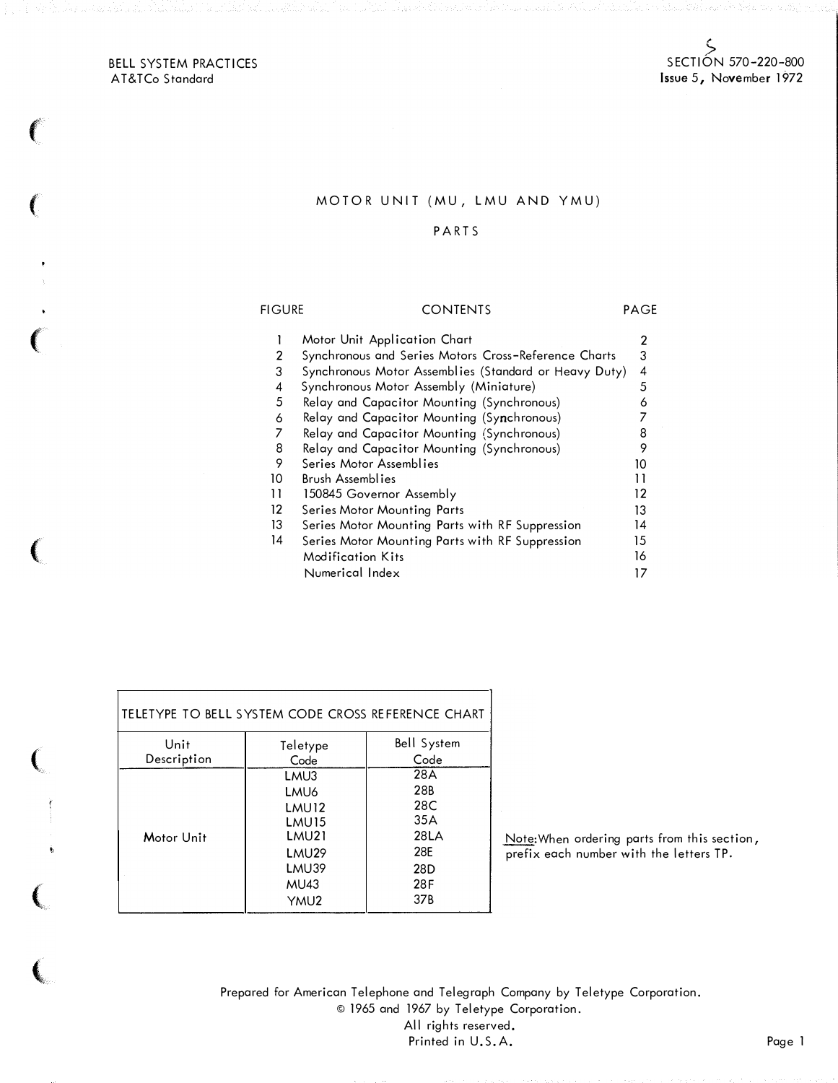BELL SYSTEM PRACTICES AT&TCo Standard

 $\left($ 

 $\left(\right)$ 

 $\left($ 

(

(

 $\epsilon$ 

(.

## MOTOR UNIT (MU, LMU AND YMU)

## PARTS

## **FIGURE** CONTENTS PAGE 1 Motor Unit Application Chart 2 2 Synchronous and Series Motors Cross-Reference Charts 3 3 Synchronous Motor Assemblies (Standard or Heavy Duty) 4 4 Synchronous Motor Assembly (Miniature) 5 5 Relay and Capacitor Mounting (Synchronous) 6<br>6 Relay and Capacitor Mounting (Sy**n**chronous) 7 6 Relay and Capacitor Mounting (Synchronous) 7 7 Relay and Capacitor Mounting (Synchronous) 8 8 Relay and Capacitor Mounting (Synchronous) 9 9 Series Motor Assemblies 10 10<br>10 Brush Assemblies 10 11 Brush Assemblies 11 11 150845 Governor Assembly 12 12 Series Motor Mounting Parts<br>13 Series Motor Mounting Parts with RF Suppression 14 13 Series Motor Mounting Parts with RF Suppression 14 Series Motor Mounting Parts with RF Suppression 15 Modification Kits 16 Numerical Index 17

| TELETYPE TO BELL SYSTEM CODE CROSS REFERENCE CHART |                   |                    |  |  |  |  |  |  |  |
|----------------------------------------------------|-------------------|--------------------|--|--|--|--|--|--|--|
| Unit                                               | Teletype          | <b>Bell System</b> |  |  |  |  |  |  |  |
| Description                                        | Code              | Code               |  |  |  |  |  |  |  |
|                                                    | LMU3              | 28A                |  |  |  |  |  |  |  |
|                                                    | LMU <sub>6</sub>  | 28 <sub>B</sub>    |  |  |  |  |  |  |  |
|                                                    | LMU <sub>12</sub> | 28C                |  |  |  |  |  |  |  |
|                                                    | LMU <sub>15</sub> | 35A                |  |  |  |  |  |  |  |
| Motor Unit                                         | LMU21             | 28LA               |  |  |  |  |  |  |  |
|                                                    | LMU29             | 28F                |  |  |  |  |  |  |  |
|                                                    | LMU39             | 28 <sub>D</sub>    |  |  |  |  |  |  |  |
|                                                    | MU43              | 28F                |  |  |  |  |  |  |  |
|                                                    | YMU <sub>2</sub>  | 37 <sub>B</sub>    |  |  |  |  |  |  |  |

Note:When ordering parts from this section, prefix each number with the letters TP.

Prepared for American Telephone and Telegraph Company by Teletype Corporation. © 1965 and 1967 by Teletype Corporation. All rights reserved. Printed in U.S.A. Page 1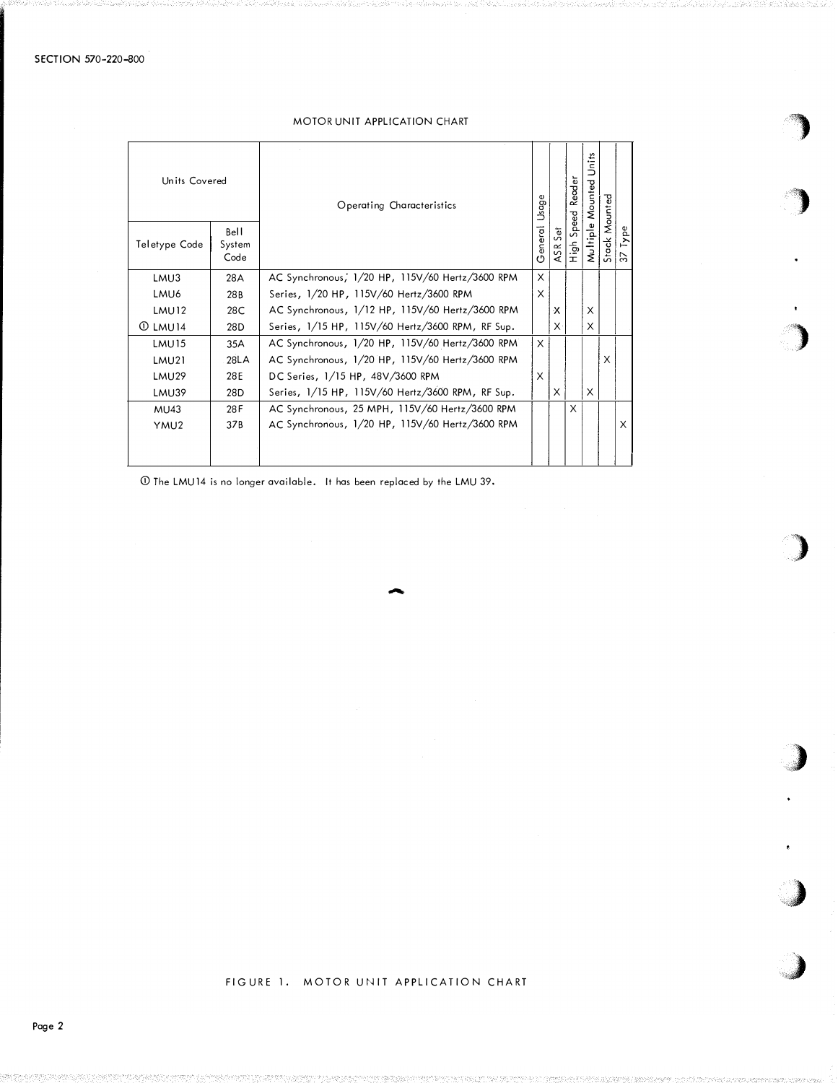# MOTOR UNIT APPLICATION CHART

 $\mathcal{A}$  $\mathcal{F}$ 

)

)

)

)

"')

 $\rightarrow$ 

| Units Covered     |                        | Operating Characteristics                        | Ф<br>Usage |                    | Reader                 | ۴Î.<br>$\simeq$<br>짛<br>Mounte |               |                  |
|-------------------|------------------------|--------------------------------------------------|------------|--------------------|------------------------|--------------------------------|---------------|------------------|
| Teletype Code     | Bell<br>System<br>Code |                                                  | General    | to<br>Ü<br>5Ř<br>⋖ | Speed<br>$\frac{1}{2}$ | Multiple                       | Stack Mounted | Type<br>$\omega$ |
| LMU3              | 28A                    | AC Synchronous, 1/20 HP, 115V/60 Hertz/3600 RPM  | X          |                    |                        |                                |               |                  |
| LMU6              | 28B                    | Series, 1/20 HP, 115V/60 Hertz/3600 RPM          | X          |                    |                        |                                |               |                  |
| LMU <sub>12</sub> | 28C                    | AC Synchronous, 1/12 HP, 115V/60 Hertz/3600 RPM  |            | х                  |                        | X                              |               |                  |
| $\Omega$ LMU14    | 28D                    | Series, 1/15 HP, 115V/60 Hertz/3600 RPM, RF Sup. |            | $\times$           |                        | X                              |               |                  |
| LMU <sub>15</sub> | 35A                    | AC Synchronous, 1/20 HP, 115V/60 Hertz/3600 RPM  | X          |                    |                        |                                |               |                  |
| LMU21             | 28LA                   | AC Synchronous, 1/20 HP, 115V/60 Hertz/3600 RPM  |            |                    |                        |                                | X             |                  |
| LMU29             | 28E                    | DC Series, 1/15 HP, 48V/3600 RPM                 | X          |                    |                        |                                |               |                  |
| LMU39             | 28D                    | Series, 1/15 HP, 115V/60 Hertz/3600 RPM, RF Sup. |            | X                  |                        | X                              |               |                  |
| MU43              | 28F                    | AC Synchronous, 25 MPH, 115V/60 Hertz/3600 RPM   |            |                    | X                      |                                |               |                  |
| YMU <sub>2</sub>  | 37B                    | AC Synchronous, 1/20 HP, 115V/60 Hertz/3600 RPM  |            |                    |                        |                                |               | X                |
|                   |                        |                                                  |            |                    |                        |                                |               |                  |

-

Q) The LMU14 is no longer available. It has been replaced by the LMU 39.

## FIGURE 1. MOTOR UNIT APPLICATION CHART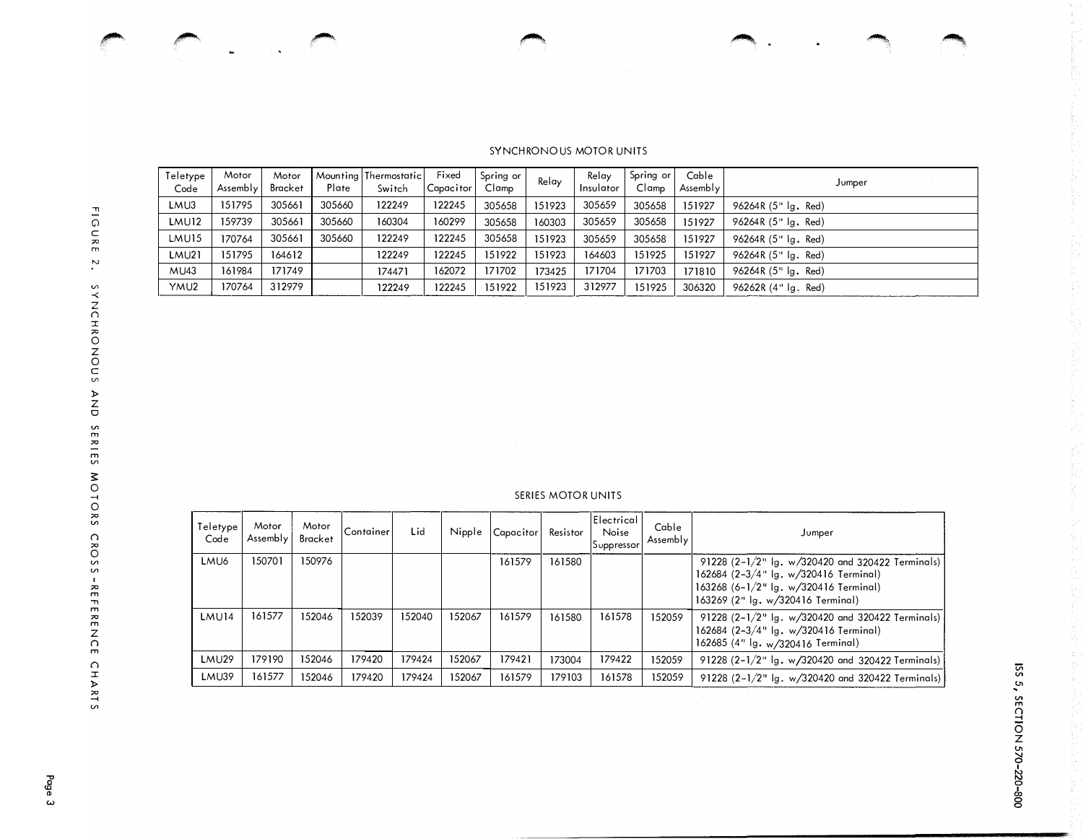-� � �. """''!!!�'<,

## de Constituição de Caracas de Caracas de Caracas de Caracas de Caracas de Caracas de Caracas de Caracas de Caracas de Caracas de Caracas de Caracas de Caracas de Caracas de Caracas de Caracas de Caracas de Caracas de Carac

### SYNCHRONOUS MOTOR UNITS

| Teletype<br>Code | Motor<br>Assembly | Motor<br>Bracket | Plate  | Mounting Thermostatic<br>Switch | Fixed<br>Capacitor | Spring or<br>Clamp | Relay  | Relay<br>Insulator | Spring or<br>Clamp | Cable<br>Assembly | Jumper                  |
|------------------|-------------------|------------------|--------|---------------------------------|--------------------|--------------------|--------|--------------------|--------------------|-------------------|-------------------------|
| LMU3             | 151795            | 305661           | 305660 | 122249                          | 122245             | 305658             | 151923 | 305659             | 305658             | 151927            | 96264R (5" lg. Red)     |
| <b>LMU12</b>     | 159739            | 305661           | 305660 | 160304                          | 160299             | 305658             | 160303 | 305659             | 305658             | 151927            | 96264R (5" lg. Red)     |
| LMU15            | 170764            | 305661           | 305660 | 122249                          | 122245             | 305658             | 151923 | 305659             | 305658             | 151927            | 96264R (5" lg. Red)     |
| <b>LMU21</b>     | 151795            | 164612           |        | 122249                          | 122245             | 151922             | 151923 | 164603             | 151925             | 151927            | 96264R (5" lg. Red)     |
| <b>MU43</b>      | 161984            | 171749           |        | 174471                          | 162072             | 171702             | 173425 | 171704             | 171703             | 171810            | 96264R $(5"$ $ q,$ Red) |
| YMU2             | 170764            | 312979           |        | 122249                          | 122245             | 151922             | 151923 | 312977             | 151925             | 306320            | 96262R (4" lg. Red)     |

### SERIES MOTOR UNITS

| Teletype<br>Code  | Motor<br>Assembly | Motor<br>Bracket | Container | Lid    | Nipple | Capacitor | Resistor | Electrical<br>Noise<br>Suppressor | Cable<br>Assembly | Jumper                                                                                                                                                                      |  |  |
|-------------------|-------------------|------------------|-----------|--------|--------|-----------|----------|-----------------------------------|-------------------|-----------------------------------------------------------------------------------------------------------------------------------------------------------------------------|--|--|
| LMU6              | 150701            | 150976           |           |        |        | 161579    | 161580   |                                   |                   | 91228 (2-1/2" Ig. w/320420 and 320422 Terminals)<br>162684 $(2-3/4"$ lg. w/320416 Terminal)<br>163268 $(6-1/2"$ lg. w/320416 Terminal)<br>163269 (2" Ig. w/320416 Terminal) |  |  |
| LMU <sub>14</sub> | 161577            | 152046           | 152039    | 152040 | 152067 | 161579    | 161580   | 161578                            | 152059            | 91228 $(2-1/2"$ Ig. w/320420 and 320422 Terminals)<br>162684 $(2-3/4"$ lg. w/320416 Terminal)<br>162685 (4" lg. w/320416 Terminal)                                          |  |  |
| LMU <sub>29</sub> | 179190            | 152046           | 179420    | 179424 | 152067 | 179421    | 173004   | 179422                            | 152059            | 91228 $(2-1/2"$ lg. w/320420 and 320422 Terminals)                                                                                                                          |  |  |
| LMU39             | 161577            | 152046           | 179420    | 179424 | 152067 | 161579    | 179103   | 161578                            | 152059            | 91228 $(2-1/2"$ Ig. w/320420 and 320422 Terminals)                                                                                                                          |  |  |

 $\mathcal{I}$  respectively. The set of  $\mathcal{I}$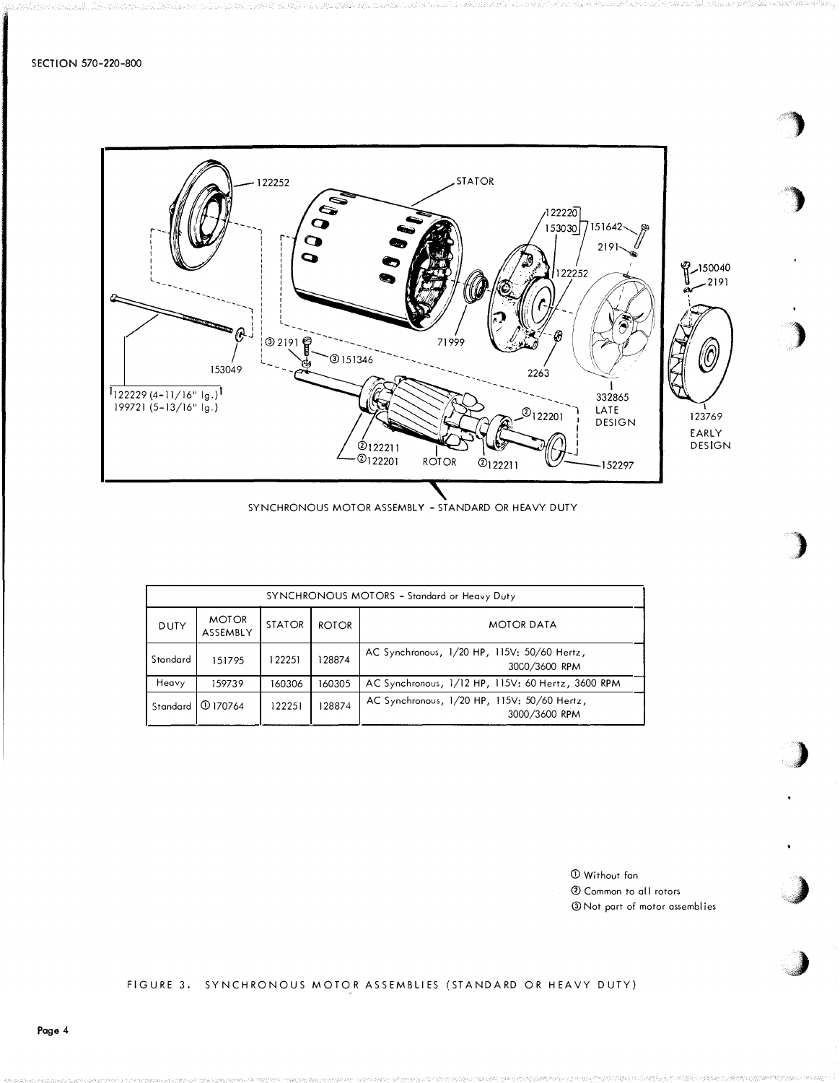

SYNCHRONOUS MOTOR ASSEMBLY - STANDARD OR HEAVY DUTY

|             | SYNCHRONOUS MOTORS - Standard or Heavy Duty |               |              |                                                              |  |  |  |  |  |  |  |
|-------------|---------------------------------------------|---------------|--------------|--------------------------------------------------------------|--|--|--|--|--|--|--|
| <b>DUTY</b> | <b>MOTOR</b><br>ASSEMBLY                    | <b>STATOR</b> | <b>ROTOR</b> | <b>MOTOR DATA</b>                                            |  |  |  |  |  |  |  |
| Standard    | 151795                                      | 122251        | 128874       | AC Synchronous, 1/20 HP, 115V: 50/60 Hertz,<br>3000/3600 RPM |  |  |  |  |  |  |  |
| Heavy       | 159739                                      | 160306        | 160305       | AC Synchronous, 1/12 HP, 115V: 60 Hertz, 3600 RPM            |  |  |  |  |  |  |  |
| Standard    | I ① 170764                                  | 122251        | 128874       | AC Synchronous, 1/20 HP, 115V: 50/60 Hertz,<br>3000/3600 RPM |  |  |  |  |  |  |  |

CD Without fan 0 Common to a II rotors @Not part of motor assemblies  $\bigwedge$ 

)

)

)

 $\blacktriangleright$ 

)

J

## FIGURE 3. SYNCHRONOUS MOTOR ASSEMBLIES (STANDARD OR HEAVY DUTY)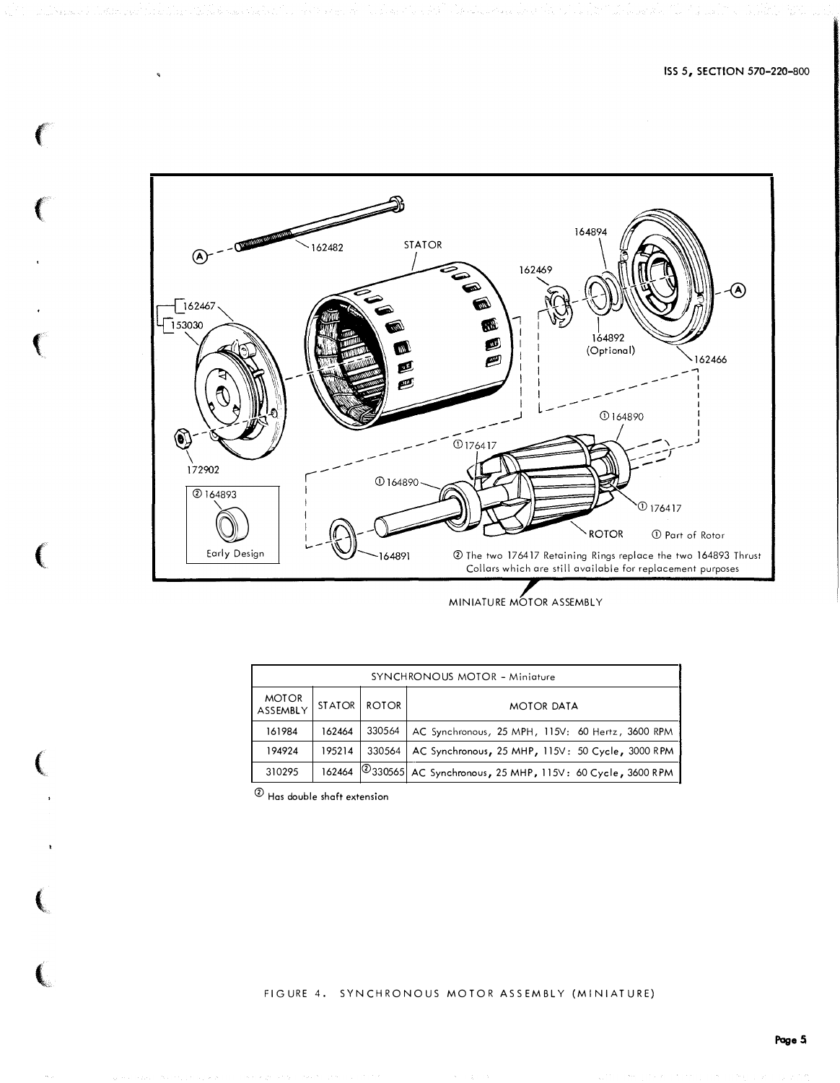

|                          | SYNCHRONOUS MOTOR - Miniature |              |                                                                 |  |  |  |  |  |  |  |  |  |  |
|--------------------------|-------------------------------|--------------|-----------------------------------------------------------------|--|--|--|--|--|--|--|--|--|--|
| <b>MOTOR</b><br>ASSEMBLY | STATOR                        | <b>ROTOR</b> | <b>MOTOR DATA</b>                                               |  |  |  |  |  |  |  |  |  |  |
| 161984                   | 162464                        | 330564       | AC Synchronous, 25 MPH, 115V: 60 Hertz, 3600 RPM                |  |  |  |  |  |  |  |  |  |  |
| 194924                   | 195214                        | 330564       | AC Synchronous, 25 MHP, 115V: 50 Cycle, 3000 RPM                |  |  |  |  |  |  |  |  |  |  |
| 310295                   |                               |              | 162464 2330565 AC Synchronous, 25 MHP, 115V: 60 Cycle, 3600 RPM |  |  |  |  |  |  |  |  |  |  |

 $<sup>①</sup>$  Has double shaft extension</sup>

 $\epsilon$ 

 $\left($ 

 $\blacklozenge$ 

 $\left($ 

 $\big($ 

 $\lambda$ 

(

FIGURE 4. SYNCHRONOUS MOTOR ASSEMBLY (MINIATURE)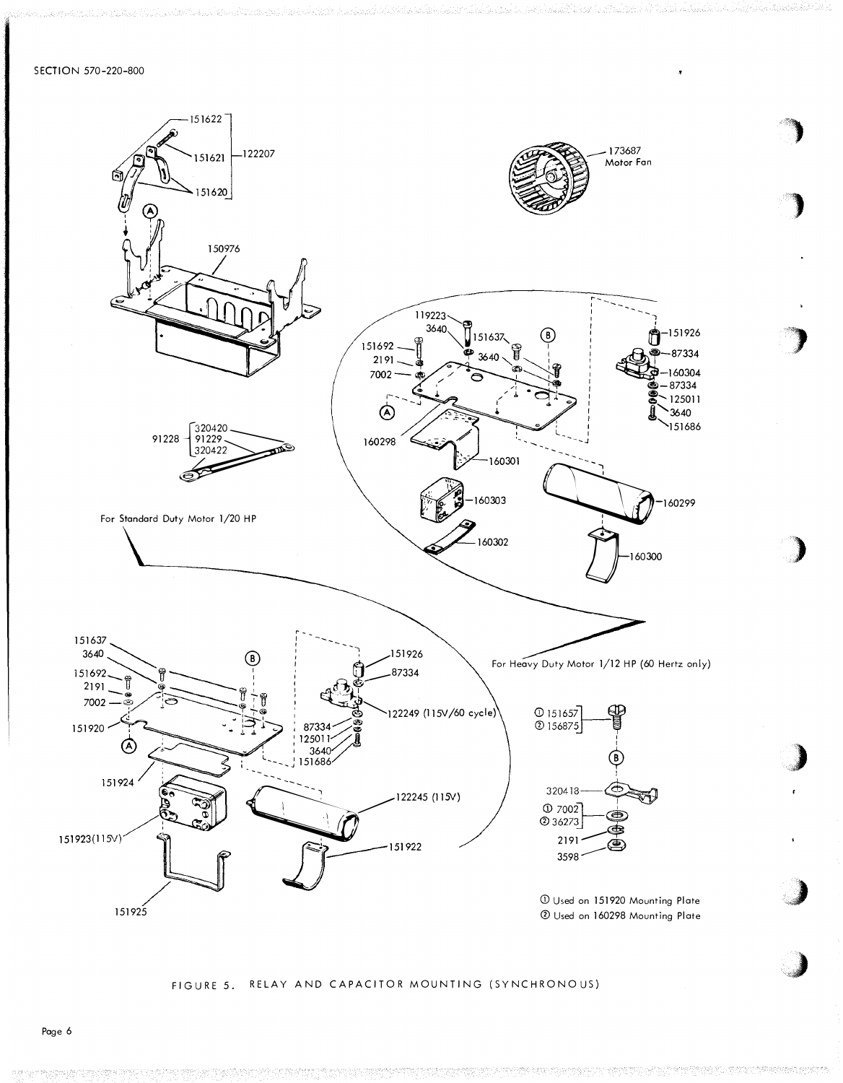SECTION 570-220-800



# FIGURE 5. RELAY AND CAPACITOR MOUNTING (SYNCHRONOUS)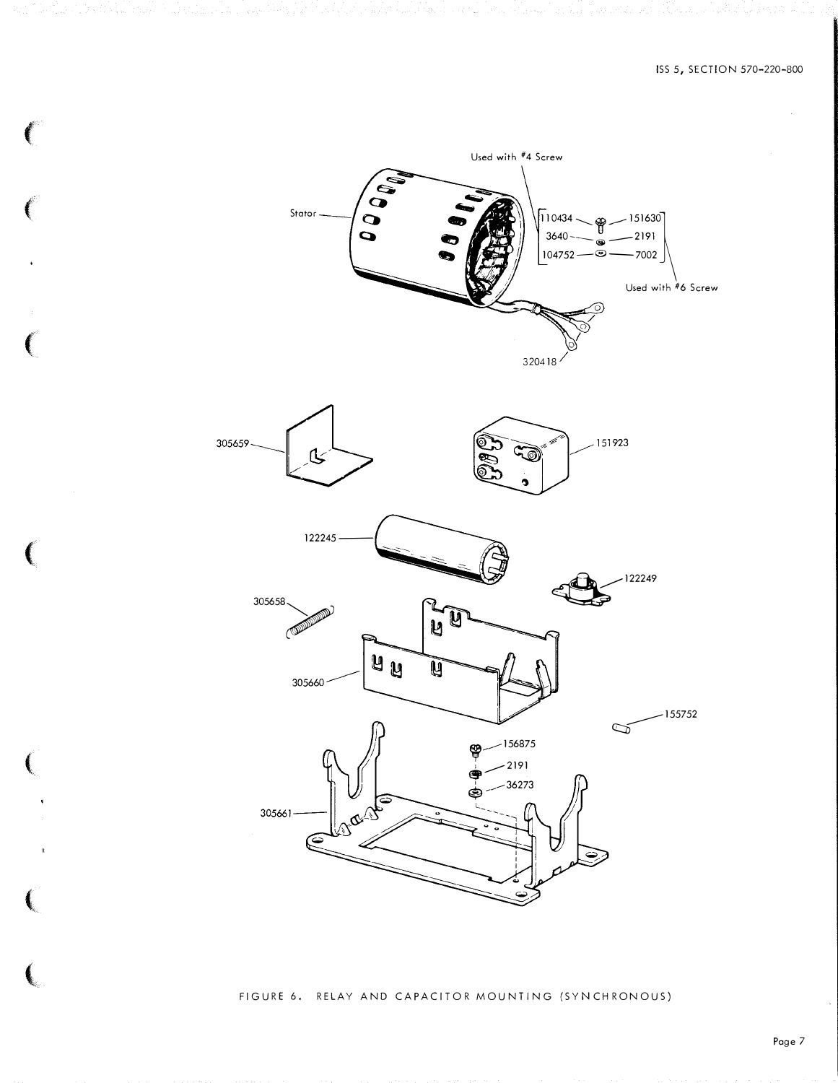

 $\epsilon$ 

 $\label{eq:2} \frac{1}{2}\sum_{i=1}^n\sum_{j=1}^n\frac{1}{2}\sum_{j=1}^n\sum_{j=1}^n\frac{1}{2}\sum_{j=1}^n\sum_{j=1}^n\frac{1}{2}\sum_{j=1}^n\frac{1}{2}\sum_{j=1}^n\frac{1}{2}\sum_{j=1}^n\frac{1}{2}\sum_{j=1}^n\frac{1}{2}\sum_{j=1}^n\frac{1}{2}\sum_{j=1}^n\frac{1}{2}\sum_{j=1}^n\frac{1}{2}\sum_{j=1}^n\frac{1}{2}\sum_{j=1}^n\frac{1}{2$ 

ad en kant and all experiments and his particular

 $\ell$ 

 $\left($ 

(

 $\left($ 

 $\left(\rule{0pt}{10pt}\right.$ 

 $\left(\rule{0pt}{10pt}\right.$ 

FIGURE 6. RELAY AND CAPACITOR MOUNTING (SYNCHRONOUS)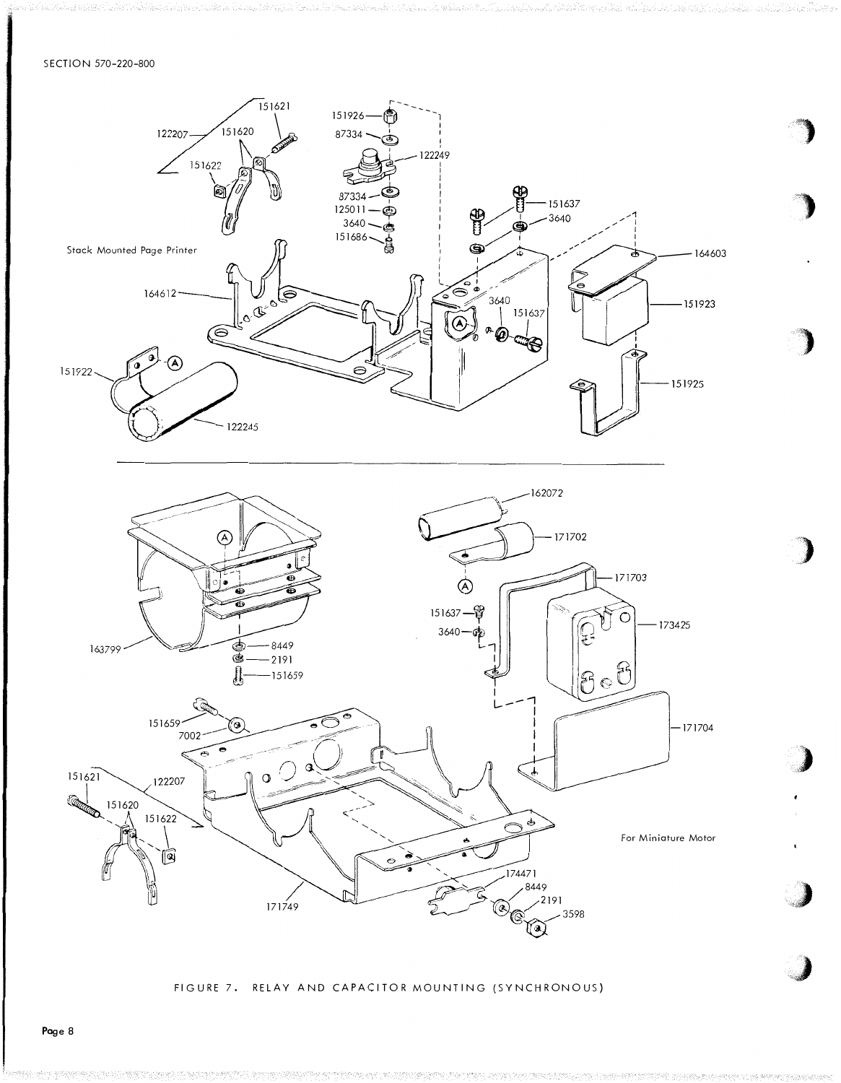### SECTION 570-220-800



FIGURE 7. RELAY AND CAPACITOR MOUNTING (SYNCHRONOUS)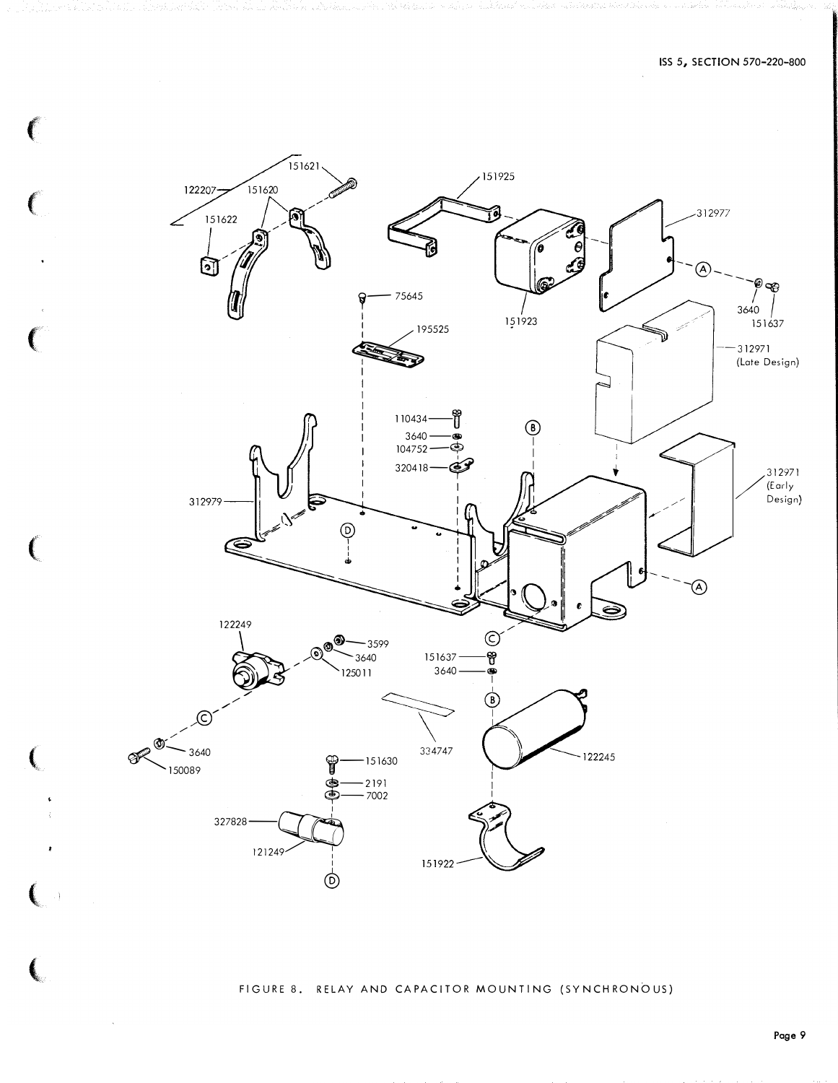

f

FIGURE 8. RELAY AND CAPACITOR MOUNTING (SYNCHRONOUS)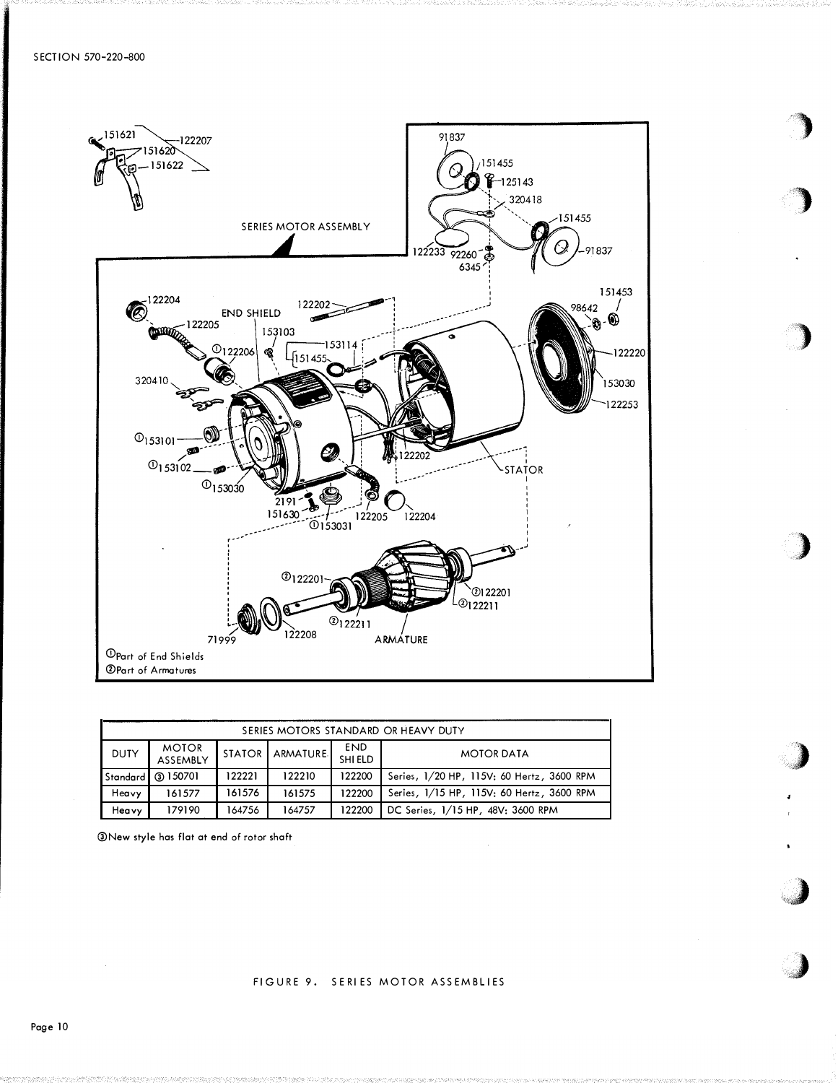

 $\blacksquare$  $\mathbf{r}$ 

'l

)

)

)

J

**·** �/I

| SERIES MOTORS STANDARD OR HEAVY DUTY |                          |               |                 |                       |                                           |  |  |  |  |  |  |
|--------------------------------------|--------------------------|---------------|-----------------|-----------------------|-------------------------------------------|--|--|--|--|--|--|
| <b>DUTY</b>                          | <b>MOTOR</b><br>ASSEMBLY | <b>STATOR</b> | <b>ARMATURE</b> | <b>END</b><br>SHI ELD | <b>MOTOR DATA</b>                         |  |  |  |  |  |  |
|                                      | 'Standard   ③ 150701     | 122221        | 122210          | 122200                | Series, 1/20 HP, 115V; 60 Hertz, 3600 RPM |  |  |  |  |  |  |
| Heavy                                | 161577                   | 161576        | 161575          | 122200                | Series, 1/15 HP, 115V: 60 Hertz, 3600 RPM |  |  |  |  |  |  |
| Heavy                                | 179190                   | 164756        | 164757          | 122200                | DC Series, 1/15 HP, 48V; 3600 RPM         |  |  |  |  |  |  |

�New style has flat at end of rotor shaft

## FIGURE 9. SERIES MOTOR ASSEMBLIES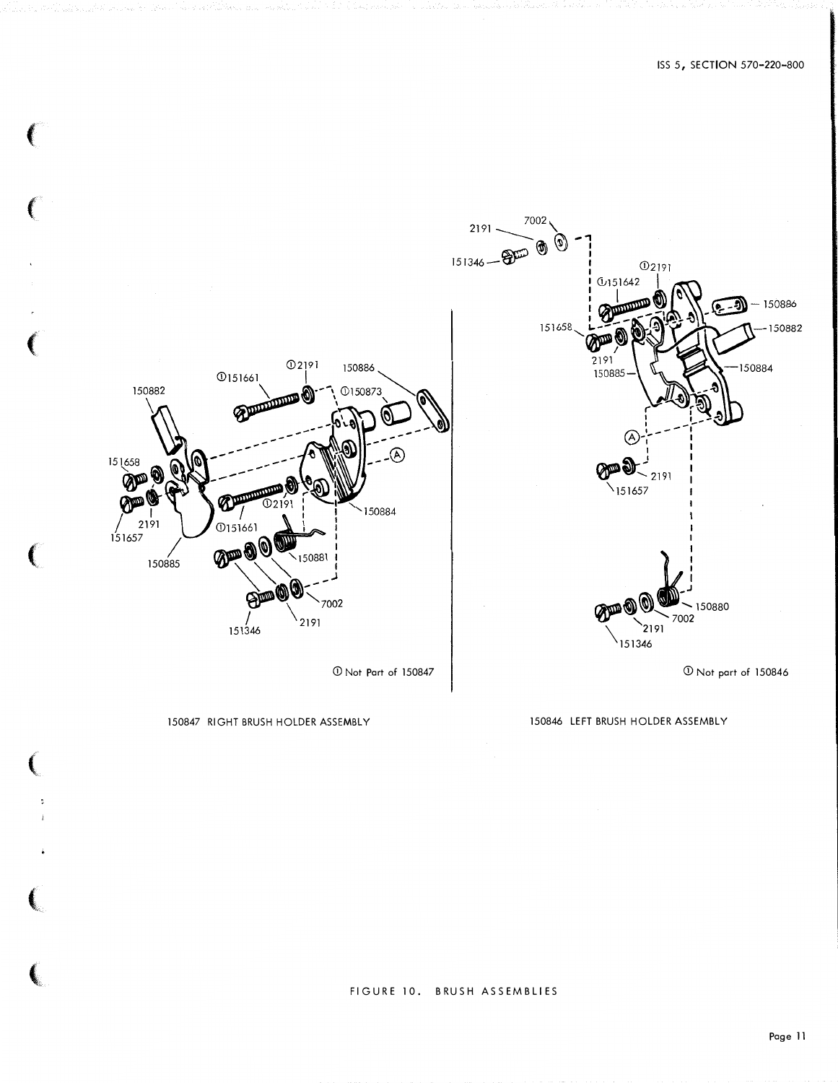

150846 LEFT BRUSH HOLDER ASSEMBLY

150847 RIGHT BRUSH HOLDER ASSEMBLY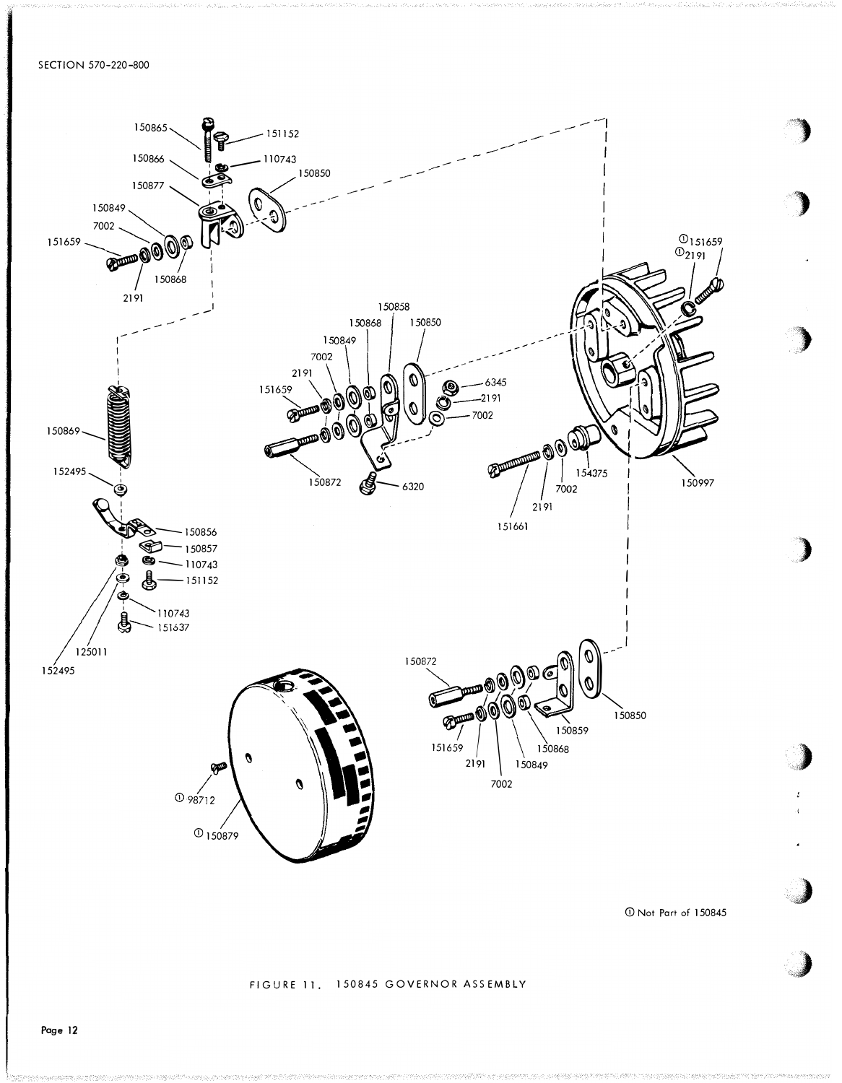SECTION 570-220-800



CD Not Part of 150845

"

#### FIGURE 11. 150845 GOVERNOR ASS EMBLY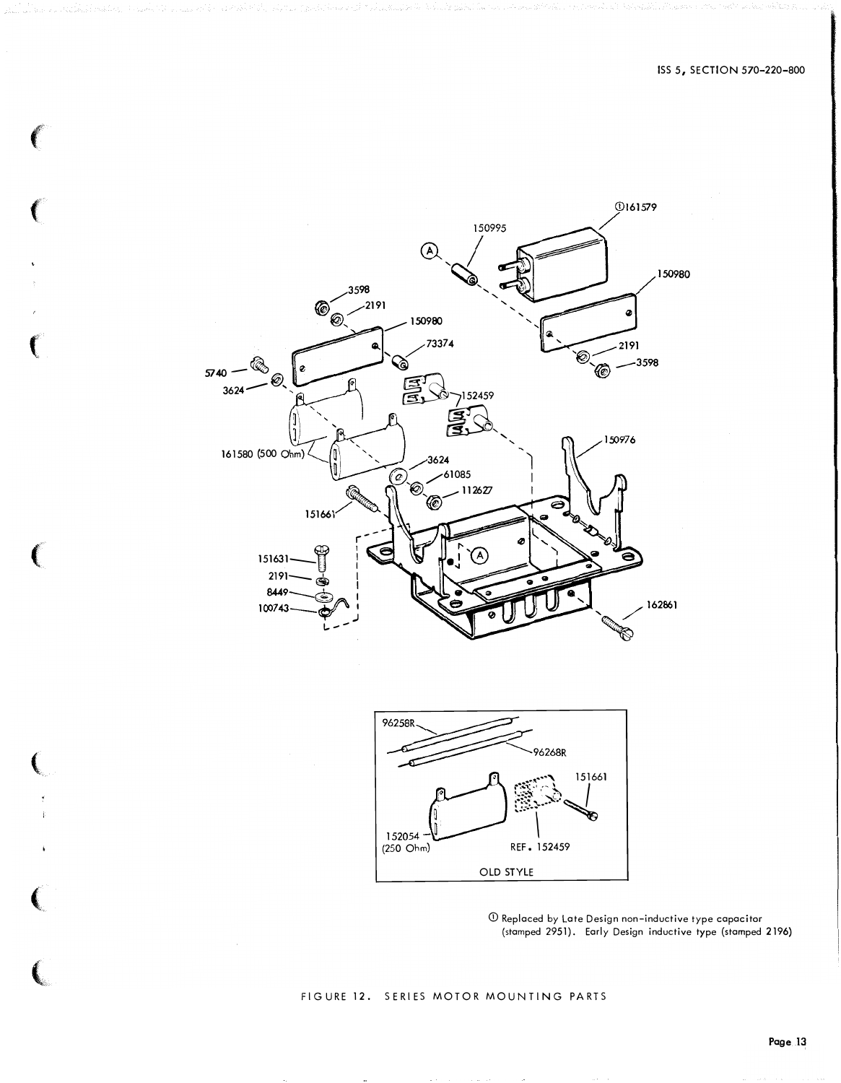

 $\mathbf{C}$ 



① Replaced by Late Design non-inductive type capacitor<br>(stamped 2951). Early Design inductive type (stamped 2196)

FIGURE 12. SERIES MOTOR MOUNTING PARTS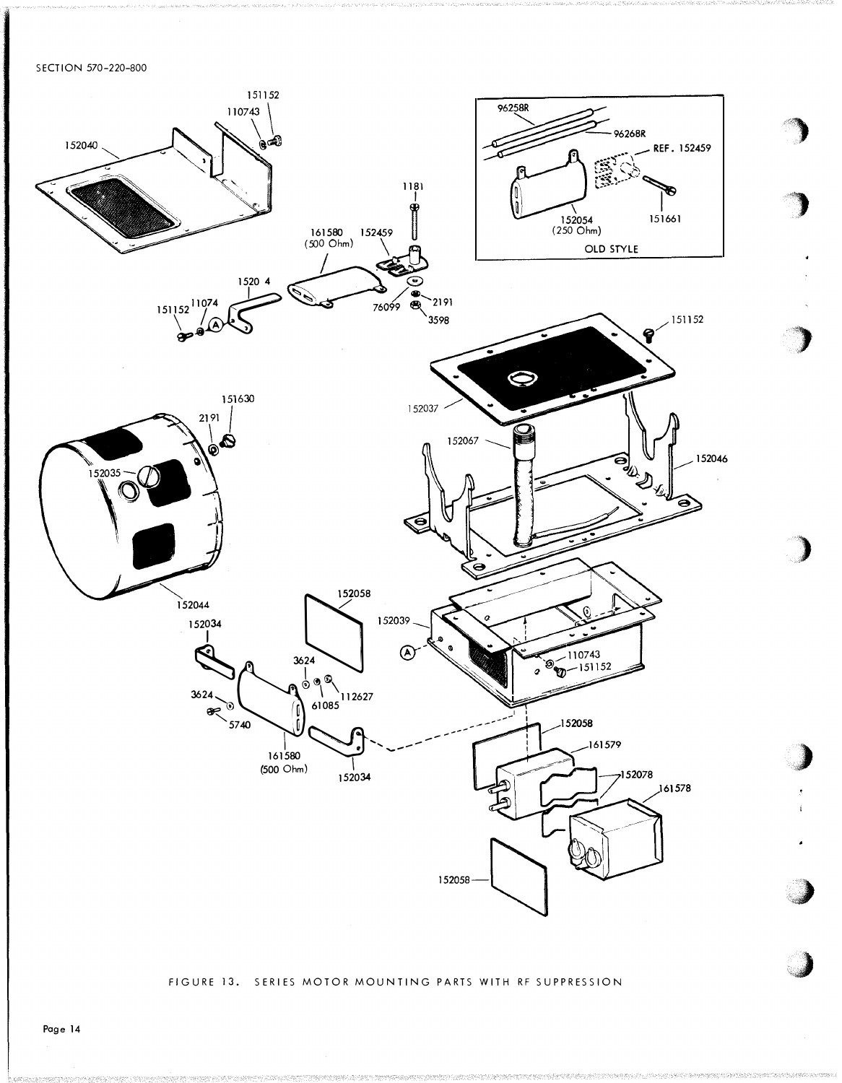SECTION 570-220-800



#### FIGURE 13. SERIES MOTOR MOUNTING PARTS WITH RF SUPPRESSION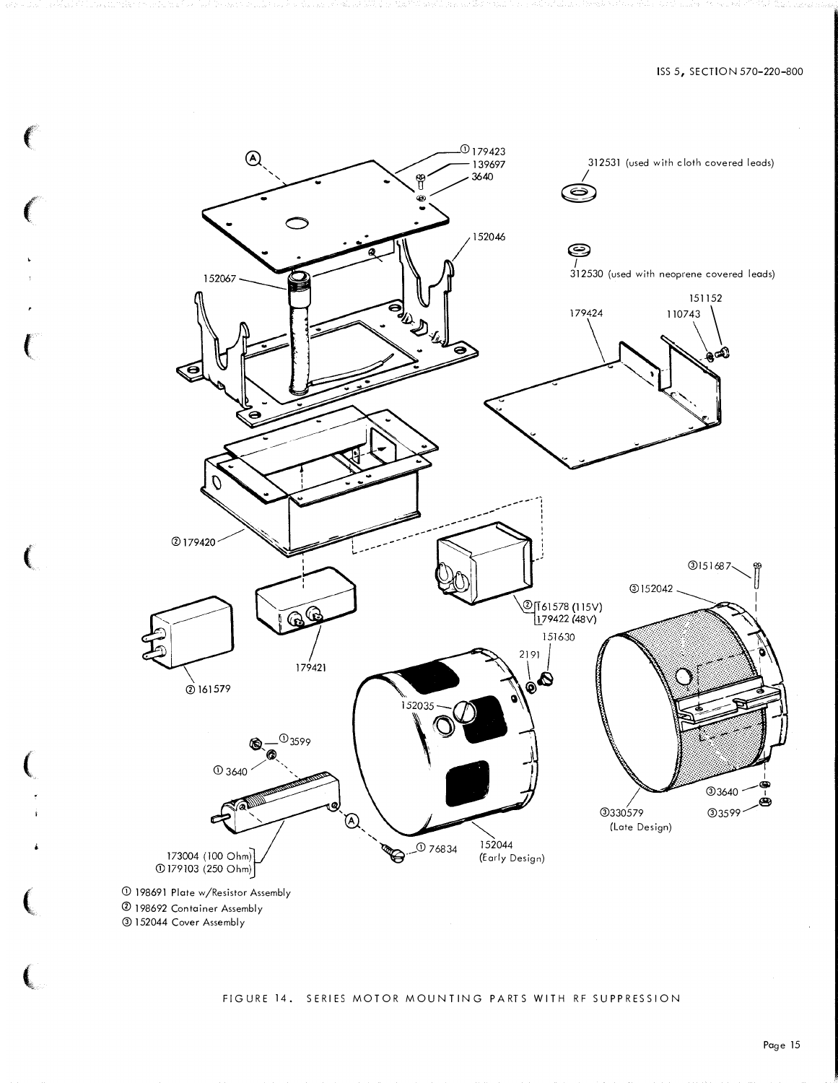

 $\left($ 

 $\left($ 

 $\mathbf{C}$ 

 $\epsilon$ 

**(**<br>"

•

**।**<br>प

 $\left($ 

### FIGURE 14. SERIES MOTOR MOUNTING PARTS WITH RF SUPPRESSION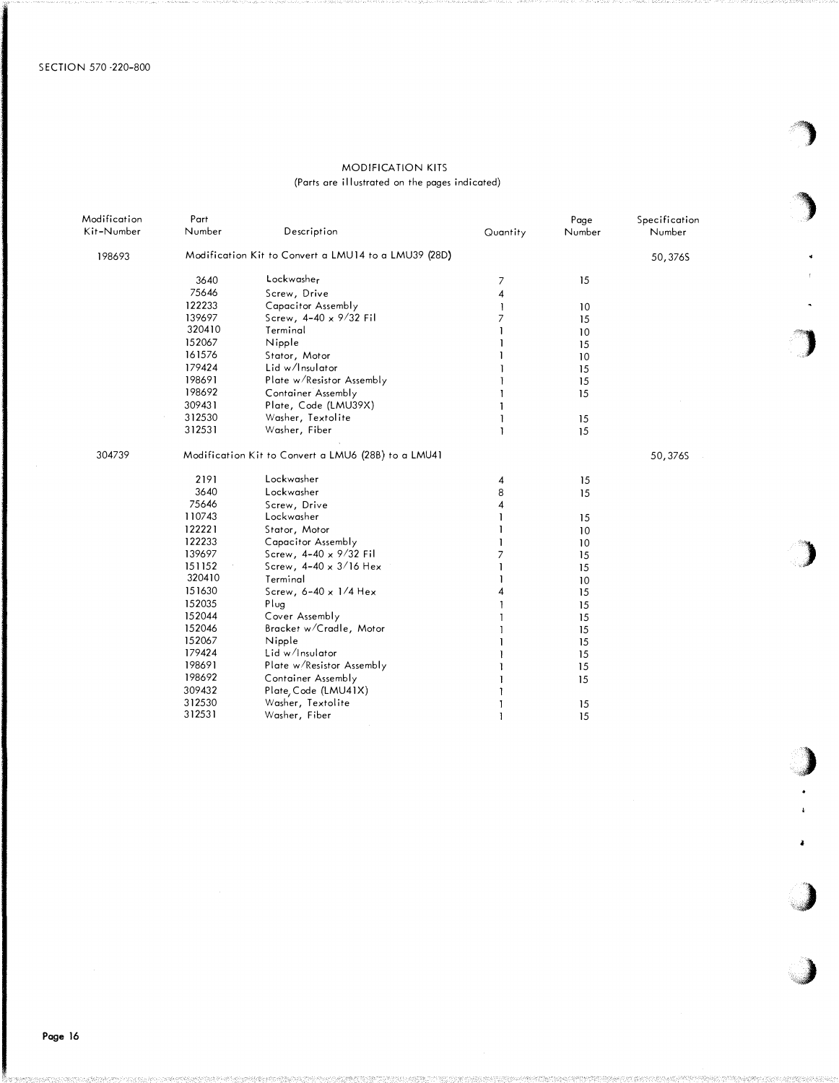## MODIFICATION KITS (Parts ore illustrated on the pages indicated)

'")

,)

ł.

,)

;,,)

| Modification<br>Kit-Number | Part<br>Number | Description                                          | Quantity | Page<br>Number | Specification<br>Number |  |
|----------------------------|----------------|------------------------------------------------------|----------|----------------|-------------------------|--|
| 198693                     |                | Modification Kit to Convert a LMU14 to a LMU39 (28D) |          |                | 50,376S                 |  |
|                            | 3640           | Lockwasher                                           | 7        | 15             |                         |  |
|                            | 75646          | Screw, Drive                                         | 4        |                |                         |  |
|                            | 122233         | Capacitor Assembly                                   |          | 10             |                         |  |
|                            | 139697         | Screw, $4-40 \times 9/32$ Fil                        |          | 15             |                         |  |
|                            | 320410         | Terminal                                             |          | 10             |                         |  |
|                            | 152067         | Nipple                                               |          | 15             |                         |  |
|                            | 161576         | Stator, Motor                                        |          | 10             |                         |  |
|                            | 179424         | Lid w/Insulator                                      |          | 15             |                         |  |
|                            | 198691         | Plate w/Resistor Assembly                            |          | 15             |                         |  |
|                            | 198692         | Container Assembly                                   |          | 15             |                         |  |
|                            | 309431         | Plate, Code (LMU39X)                                 |          |                |                         |  |
|                            | 312530         | Washer, Textolite                                    |          | 15             |                         |  |
|                            | 312531         | Washer, Fiber                                        |          | 15             |                         |  |
| 304739                     |                | Modification Kit to Convert a LMU6 (28B) to a LMU41  |          |                | 50,376S                 |  |
|                            | 2191           | Lockwasher                                           | 4        | 15             |                         |  |
|                            | 3640           | Lockwasher                                           | 8        | 15             |                         |  |
|                            | 75646          | Screw, Drive                                         | 4        |                |                         |  |
|                            | 110743         | Lockwasher                                           |          | 15             |                         |  |
|                            | 122221         | Stator, Motor                                        |          | 10             |                         |  |
|                            | 122233         | Capacitor Assembly                                   |          | 10             |                         |  |
|                            | 139697         | Screw, 4-40 x 9/32 Fil                               |          | 15             |                         |  |
|                            | 151152         | Screw, $4-40 \times 3/16$ Hex                        |          | 15             |                         |  |
|                            | 320410         | Terminal                                             |          | 10             |                         |  |
|                            | 151630         | Screw, $6-40 \times 1/4$ Hex                         |          | 15             |                         |  |
|                            | 152035         | Plug                                                 |          | 15             |                         |  |
|                            | 152044         | Cover Assembly                                       |          | 15             |                         |  |
|                            | 152046         | Bracket w/Cradle, Motor                              |          | 15             |                         |  |
|                            | 152067         | Nipple                                               |          | 15             |                         |  |
|                            | 179424         | Lid w/Insulator                                      |          | 15             |                         |  |
|                            | 198691         | Plate w/Resistor Assembly                            |          | 15             |                         |  |
|                            | 198692         | Container Assembly                                   |          | 15             |                         |  |
|                            | 309432         | Plate, Code (LMU41X)                                 |          |                |                         |  |
|                            | 312530         | Washer, Textolite                                    |          | 15             |                         |  |
|                            | 312531         | Washer, Fiber                                        |          | 15             |                         |  |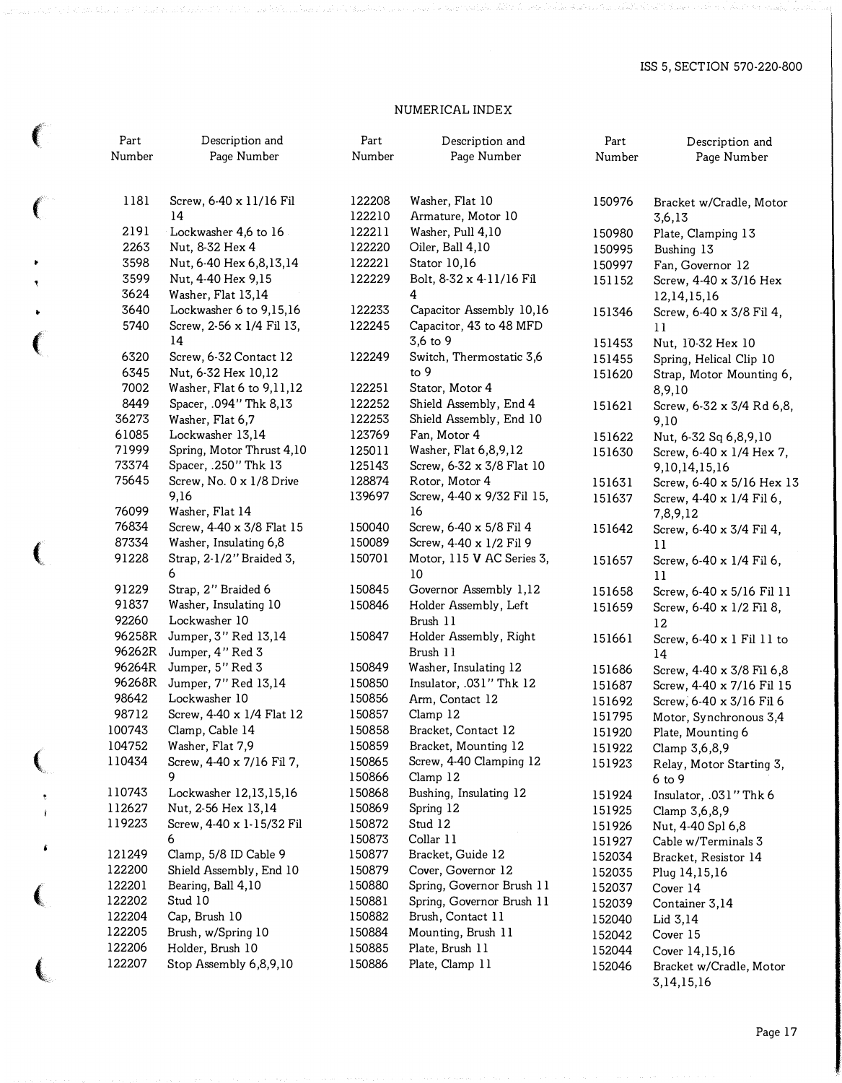# NUMERICAL INDEX

 $\ell$ 

(

 $\bullet$ 

 $\bar{\tau}$ 

|              | Part   | Description and                 | Part             | Description and                     | Part             | Description and                             |
|--------------|--------|---------------------------------|------------------|-------------------------------------|------------------|---------------------------------------------|
|              | Number | Page Number                     | Number           | Page Number                         | Number           | Page Number                                 |
| $\epsilon$   | 1181   | Screw, 6-40 x 11/16 Fil         | 122208           | Washer, Flat 10                     | 150976           | Bracket w/Cradle, Motor                     |
|              |        | 14                              | 122210           | Armature, Motor 10                  |                  | 3,6,13                                      |
|              | 2191   | Lockwasher 4,6 to 16            | 122211           | Washer, Pull 4,10                   | 150980           | Plate, Clamping 13                          |
|              | 2263   | Nut, 8-32 Hex 4                 | 122220           | Oiler, Ball 4,10                    | 150995           | Bushing 13                                  |
| ۲            | 3598   | Nut, 6-40 Hex 6,8,13,14         | 122221           | Stator 10,16                        | 150997           | Fan, Governor 12                            |
| ۴            | 3599   | Nut, 4-40 Hex 9,15              | 122229           | Bolt, 8-32 x 4-11/16 Fil            | 151152           | Screw, 4-40 x 3/16 Hex                      |
|              | 3624   | Washer, Flat 13,14              |                  | 4                                   |                  | 12,14,15,16                                 |
| ٠            | 3640   | Lockwasher 6 to 9,15,16         | 122233           | Capacitor Assembly 10,16            | 151346           | Screw, 6-40 x 3/8 Fil 4,                    |
|              | 5740   | Screw, 2-56 x 1/4 Fil 13,<br>14 | 122245           | Capacitor, 43 to 48 MFD<br>3,6 to 9 |                  | 11                                          |
| $\big($      | 6320   | Screw, 6-32 Contact 12          | 122249           | Switch, Thermostatic 3,6            | 151453           | Nut, 10-32 Hex 10                           |
|              | 6345   | Nut, 6-32 Hex 10,12             |                  | to 9                                | 151455           | Spring, Helical Clip 10                     |
|              | 7002   | Washer, Flat 6 to 9,11,12       | 122251           | Stator, Motor 4                     | 151620           | Strap, Motor Mounting 6,                    |
|              | 8449   | Spacer, .094" Thk 8,13          | 122252           | Shield Assembly, End 4              | 151621           | 8,9,10<br>Screw, 6-32 x 3/4 Rd 6,8,         |
|              | 36273  | Washer, Flat 6,7                | 122253           | Shield Assembly, End 10             |                  | 9,10                                        |
|              | 61085  | Lockwasher 13,14                | 123769           | Fan, Motor 4                        | 151622           | Nut, 6-32 Sq 6,8,9,10                       |
|              | 71999  | Spring, Motor Thrust 4,10       | 125011           | Washer, Flat 6,8,9,12               | 151630           | Screw, 6-40 x 1/4 Hex 7,                    |
|              | 73374  | Spacer, .250" Thk 13            | 125143           | Screw, 6-32 x 3/8 Flat 10           |                  | 9, 10, 14, 15, 16                           |
|              | 75645  | Screw, No. 0 x 1/8 Drive        | 128874           | Rotor, Motor 4                      | 151631           | Screw, 6-40 x 5/16 Hex 13                   |
|              |        | 9,16                            | 139697           | Screw, 4-40 x 9/32 Fil 15,          | 151637           | Screw, 4-40 x 1/4 Fil 6,                    |
|              | 76099  | Washer, Flat 14                 |                  | 16                                  |                  | 7,8,9,12                                    |
|              | 76834  | Screw, 4-40 x 3/8 Flat 15       | 150040           | Screw, 6-40 x 5/8 Fil 4             | 151642           | Screw, 6-40 x 3/4 Fil 4,                    |
|              | 87334  | Washer, Insulating 6,8          | 150089           | Screw, 4-40 x 1/2 Fil 9             |                  | 11                                          |
| $\big($      | 91228  | Strap, 2-1/2" Braided 3,        | 150701           | Motor, 115 V AC Series 3,           | 151657           | Screw, 6-40 x 1/4 Fil 6,                    |
|              |        | 6                               |                  | 10                                  |                  | 11                                          |
|              | 91229  | Strap, 2" Braided 6             | 150845           | Governor Assembly 1,12              | 151658           | Screw, 6-40 x 5/16 Fil 11                   |
|              | 91837  | Washer, Insulating 10           | 150846           | Holder Assembly, Left               | 151659           | Screw, 6-40 x 1/2 Fil 8,                    |
|              | 92260  | Lockwasher 10                   |                  | Brush 11                            |                  | 12                                          |
|              | 96258R | Jumper, 3" Red 13,14            | 150847           | Holder Assembly, Right              | 151661           | Screw, 6-40 x 1 Fil 11 to                   |
|              | 96262R | Jumper, 4" Red 3                |                  | Brush 11                            |                  | 14                                          |
|              | 96264R | Jumper, 5" Red 3                | 150849           | Washer, Insulating 12               | 151686           | Screw, 4-40 x 3/8 Fil 6,8                   |
|              | 96268R | Jumper, 7" Red 13,14            | 150850           | Insulator, .031" Thk 12             | 151687           | Screw, 4-40 x 7/16 Fil 15                   |
|              | 98642  | Lockwasher 10                   | 150856           | Arm, Contact 12                     | 151692           | Screw, 6-40 x 3/16 Fil 6                    |
|              | 98712  | Screw, 4-40 x 1/4 Flat 12       | 150857           | Clamp 12                            | 151795           | Motor, Synchronous 3,4                      |
|              | 100743 | Clamp, Cable 14                 | 150858           | Bracket, Contact 12                 | 151920           | Plate, Mounting 6                           |
|              | 104752 | Washer, Flat 7,9                | 150859           | Bracket, Mounting 12                | 151922           | Clamp 3,6,8,9                               |
| (            | 110434 | Screw, 4-40 x 7/16 Fil 7,<br>9  | 150865           | Screw, 4-40 Clamping 12             | 151923           | Relay, Motor Starting 3,                    |
|              | 110743 | Lockwasher 12,13,15,16          | 150866           | Clamp 12                            |                  | $6$ to $9$                                  |
|              | 112627 | Nut, 2-56 Hex 13,14             | 150868<br>150869 | Bushing, Insulating 12<br>Spring 12 | 151924           | Insulator, .031" Thk 6                      |
|              | 119223 | Screw, 4-40 x 1-15/32 Fil       | 150872           | Stud 12                             | 151925           | Clamp 3,6,8,9                               |
|              |        | 6                               | 150873           | Collar 11                           | 151926           | Nut, 4-40 Spl 6,8                           |
| s            | 121249 | Clamp, 5/8 ID Cable 9           | 150877           | Bracket, Guide 12                   | 151927           | Cable w/Terminals 3<br>Bracket, Resistor 14 |
|              | 122200 | Shield Assembly, End 10         | 150879           | Cover, Governor 12                  | 152034<br>152035 | Plug 14,15,16                               |
|              | 122201 | Bearing, Ball 4,10              | 150880           | Spring, Governor Brush 11           | 152037           | Cover 14                                    |
| (            | 122202 | Stud 10                         | 150881           | Spring, Governor Brush 11           | 152039           | Container 3,14                              |
|              | 122204 | Cap, Brush 10                   | 150882           | Brush, Contact 11                   | 152040           | Lid 3,14                                    |
|              | 122205 | Brush, w/Spring 10              | 150884           | Mounting, Brush 11                  | 152042           | Cover 15                                    |
|              | 122206 | Holder, Brush 10                | 150885           | Plate, Brush 11                     | 152044           | Cover 14,15,16                              |
|              | 122207 | Stop Assembly 6,8,9,10          | 150886           | Plate, Clamp 11                     | 152046           | Bracket w/Cradle, Motor                     |
| $\mathbf{C}$ |        |                                 |                  |                                     |                  | 3,14,15,16                                  |